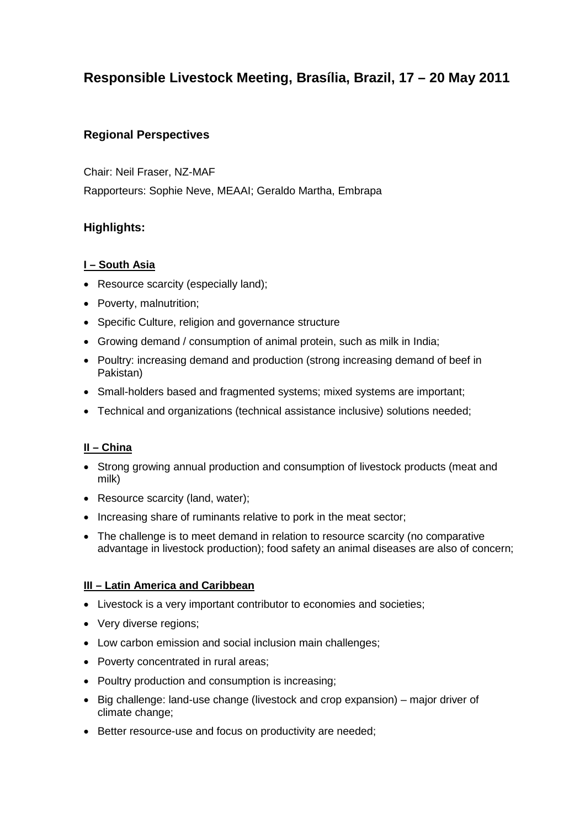# **Responsible Livestock Meeting, Brasília, Brazil, 17 – 20 May 2011**

# **Regional Perspectives**

Chair: Neil Fraser, NZ-MAF Rapporteurs: Sophie Neve, MEAAI; Geraldo Martha, Embrapa

# **Highlights:**

### **I – South Asia**

- Resource scarcity (especially land);
- Poverty, malnutrition;
- Specific Culture, religion and governance structure
- Growing demand / consumption of animal protein, such as milk in India;
- Poultry: increasing demand and production (strong increasing demand of beef in Pakistan)
- Small-holders based and fragmented systems; mixed systems are important;
- Technical and organizations (technical assistance inclusive) solutions needed;

# **II – China**

- Strong growing annual production and consumption of livestock products (meat and milk)
- Resource scarcity (land, water);
- Increasing share of ruminants relative to pork in the meat sector;
- The challenge is to meet demand in relation to resource scarcity (no comparative advantage in livestock production); food safety an animal diseases are also of concern;

#### **III – Latin America and Caribbean**

- Livestock is a very important contributor to economies and societies;
- Very diverse regions;
- Low carbon emission and social inclusion main challenges;
- Poverty concentrated in rural areas;
- Poultry production and consumption is increasing;
- Big challenge: land-use change (livestock and crop expansion) major driver of climate change;
- Better resource-use and focus on productivity are needed;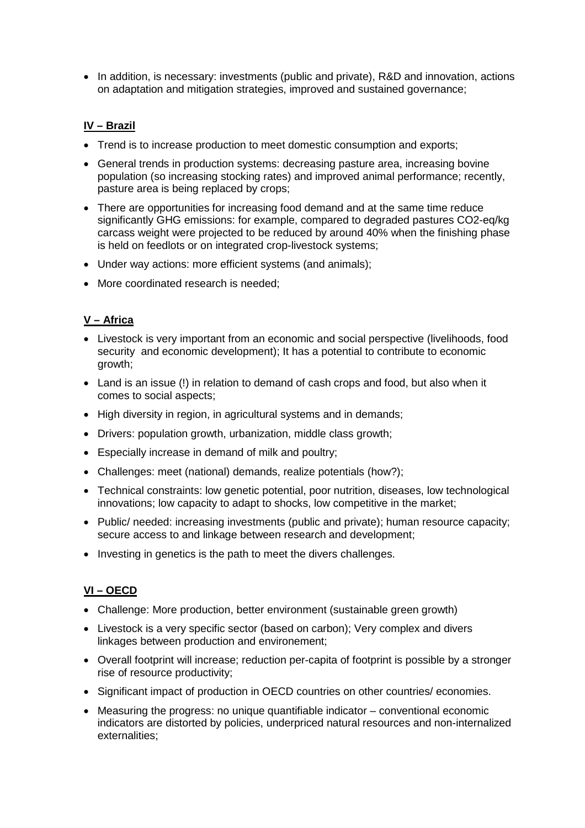• In addition, is necessary: investments (public and private), R&D and innovation, actions on adaptation and mitigation strategies, improved and sustained governance;

### **IV – Brazil**

- Trend is to increase production to meet domestic consumption and exports;
- General trends in production systems: decreasing pasture area, increasing bovine population (so increasing stocking rates) and improved animal performance; recently, pasture area is being replaced by crops;
- There are opportunities for increasing food demand and at the same time reduce significantly GHG emissions: for example, compared to degraded pastures CO2-eq/kg carcass weight were projected to be reduced by around 40% when the finishing phase is held on feedlots or on integrated crop-livestock systems;
- Under way actions: more efficient systems (and animals);
- More coordinated research is needed;

#### **V – Africa**

- Livestock is very important from an economic and social perspective (livelihoods, food security and economic development); It has a potential to contribute to economic growth;
- Land is an issue (!) in relation to demand of cash crops and food, but also when it comes to social aspects;
- High diversity in region, in agricultural systems and in demands;
- Drivers: population growth, urbanization, middle class growth;
- Especially increase in demand of milk and poultry;
- Challenges: meet (national) demands, realize potentials (how?);
- Technical constraints: low genetic potential, poor nutrition, diseases, low technological innovations; low capacity to adapt to shocks, low competitive in the market;
- Public/ needed: increasing investments (public and private); human resource capacity; secure access to and linkage between research and development;
- Investing in genetics is the path to meet the divers challenges.

# **VI – OECD**

- Challenge: More production, better environment (sustainable green growth)
- Livestock is a very specific sector (based on carbon); Very complex and divers linkages between production and environement;
- Overall footprint will increase; reduction per-capita of footprint is possible by a stronger rise of resource productivity;
- Significant impact of production in OECD countries on other countries/ economies.
- Measuring the progress: no unique quantifiable indicator conventional economic indicators are distorted by policies, underpriced natural resources and non-internalized externalities;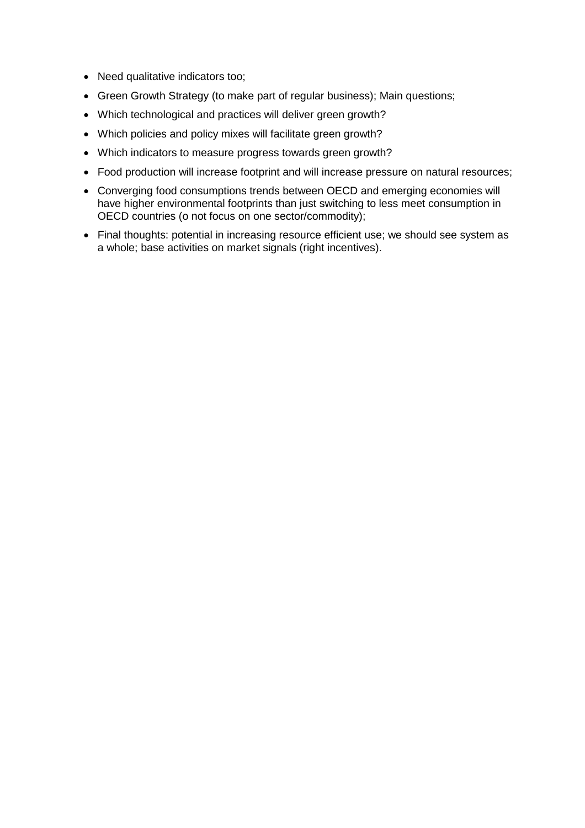- Need qualitative indicators too;
- Green Growth Strategy (to make part of regular business); Main questions;
- Which technological and practices will deliver green growth?
- Which policies and policy mixes will facilitate green growth?
- Which indicators to measure progress towards green growth?
- Food production will increase footprint and will increase pressure on natural resources;
- Converging food consumptions trends between OECD and emerging economies will have higher environmental footprints than just switching to less meet consumption in OECD countries (o not focus on one sector/commodity);
- Final thoughts: potential in increasing resource efficient use; we should see system as a whole; base activities on market signals (right incentives).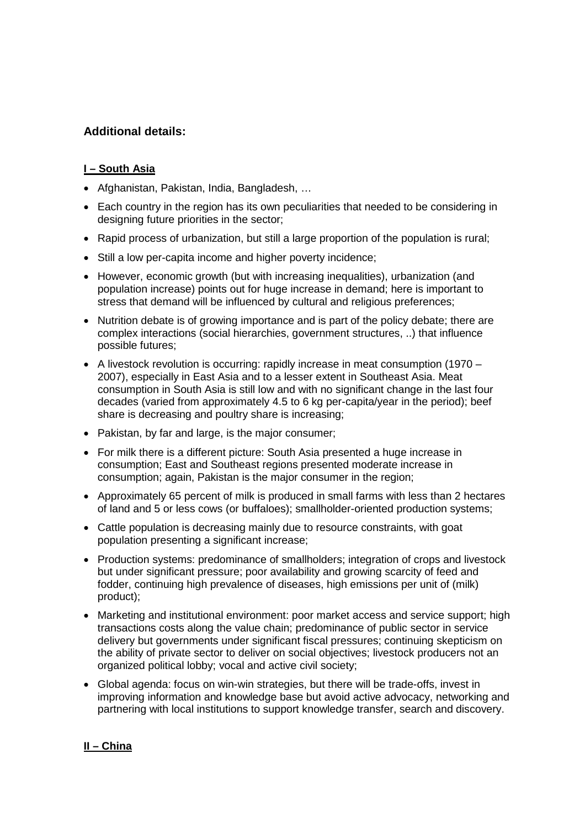# **Additional details:**

### **I – South Asia**

- Afghanistan, Pakistan, India, Bangladesh, …
- Each country in the region has its own peculiarities that needed to be considering in designing future priorities in the sector;
- Rapid process of urbanization, but still a large proportion of the population is rural;
- Still a low per-capita income and higher poverty incidence;
- However, economic growth (but with increasing inequalities), urbanization (and population increase) points out for huge increase in demand; here is important to stress that demand will be influenced by cultural and religious preferences;
- Nutrition debate is of growing importance and is part of the policy debate; there are complex interactions (social hierarchies, government structures, ..) that influence possible futures;
- A livestock revolution is occurring: rapidly increase in meat consumption (1970 2007), especially in East Asia and to a lesser extent in Southeast Asia. Meat consumption in South Asia is still low and with no significant change in the last four decades (varied from approximately 4.5 to 6 kg per-capita/year in the period); beef share is decreasing and poultry share is increasing;
- Pakistan, by far and large, is the major consumer;
- For milk there is a different picture: South Asia presented a huge increase in consumption; East and Southeast regions presented moderate increase in consumption; again, Pakistan is the major consumer in the region;
- Approximately 65 percent of milk is produced in small farms with less than 2 hectares of land and 5 or less cows (or buffaloes); smallholder-oriented production systems;
- Cattle population is decreasing mainly due to resource constraints, with goat population presenting a significant increase;
- Production systems: predominance of smallholders; integration of crops and livestock but under significant pressure; poor availability and growing scarcity of feed and fodder, continuing high prevalence of diseases, high emissions per unit of (milk) product);
- Marketing and institutional environment: poor market access and service support; high transactions costs along the value chain; predominance of public sector in service delivery but governments under significant fiscal pressures; continuing skepticism on the ability of private sector to deliver on social objectives; livestock producers not an organized political lobby; vocal and active civil society;
- Global agenda: focus on win-win strategies, but there will be trade-offs, invest in improving information and knowledge base but avoid active advocacy, networking and partnering with local institutions to support knowledge transfer, search and discovery.

#### **II – China**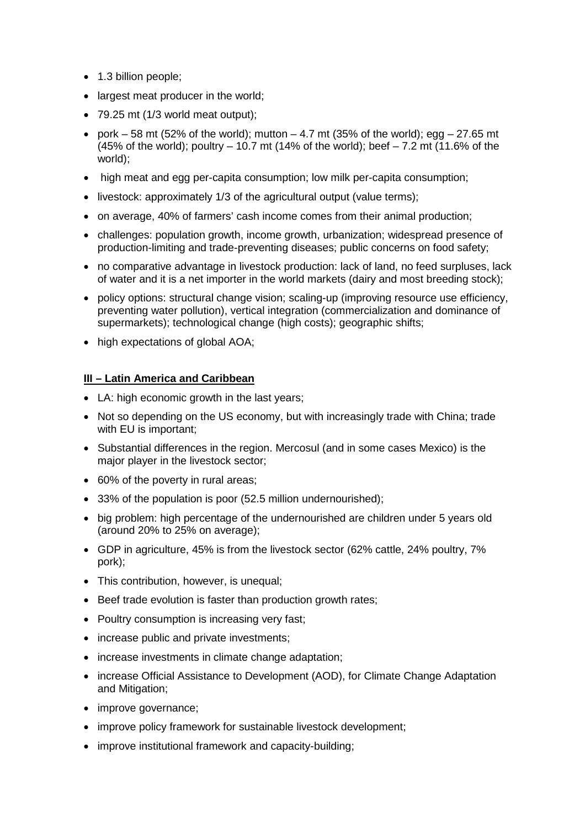- 1.3 billion people;
- largest meat producer in the world;
- 79.25 mt (1/3 world meat output);
- pork  $-58$  mt (52% of the world); mutton  $-4.7$  mt (35% of the world); egg  $-27.65$  mt  $(45\%$  of the world); poultry – 10.7 mt  $(14\%$  of the world); beef – 7.2 mt  $(11.6\%$  of the world);
- high meat and egg per-capita consumption; low milk per-capita consumption;
- livestock: approximately 1/3 of the agricultural output (value terms);
- on average, 40% of farmers' cash income comes from their animal production;
- challenges: population growth, income growth, urbanization; widespread presence of production-limiting and trade-preventing diseases; public concerns on food safety;
- no comparative advantage in livestock production: lack of land, no feed surpluses, lack of water and it is a net importer in the world markets (dairy and most breeding stock);
- policy options: structural change vision; scaling-up (improving resource use efficiency, preventing water pollution), vertical integration (commercialization and dominance of supermarkets); technological change (high costs); geographic shifts;
- high expectations of global AOA;

#### **III – Latin America and Caribbean**

- LA: high economic growth in the last years;
- Not so depending on the US economy, but with increasingly trade with China; trade with EU is important;
- Substantial differences in the region. Mercosul (and in some cases Mexico) is the major player in the livestock sector;
- 60% of the poverty in rural areas;
- 33% of the population is poor (52.5 million undernourished);
- big problem: high percentage of the undernourished are children under 5 years old (around 20% to 25% on average);
- GDP in agriculture, 45% is from the livestock sector (62% cattle, 24% poultry, 7% pork);
- This contribution, however, is unequal;
- Beef trade evolution is faster than production growth rates;
- Poultry consumption is increasing very fast;
- increase public and private investments;
- increase investments in climate change adaptation;
- increase Official Assistance to Development (AOD), for Climate Change Adaptation and Mitigation;
- improve governance;
- improve policy framework for sustainable livestock development;
- improve institutional framework and capacity-building;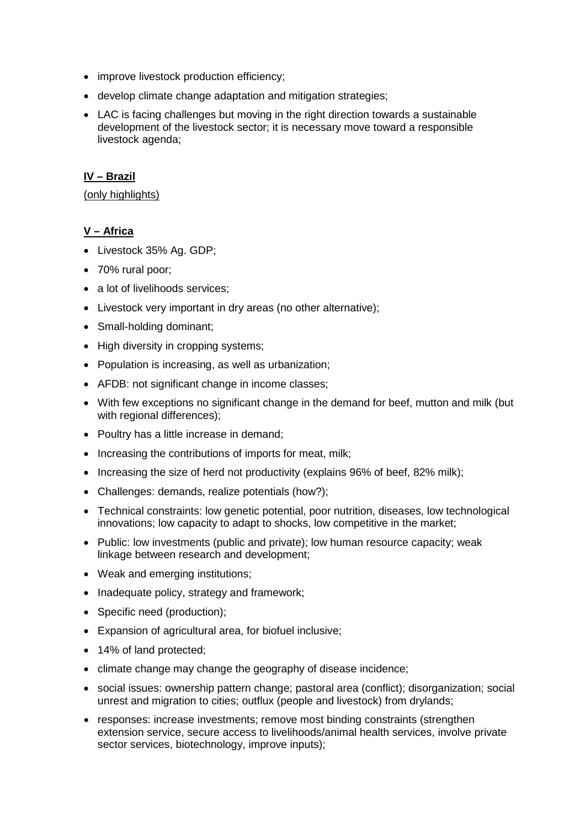- improve livestock production efficiency;
- develop climate change adaptation and mitigation strategies;
- LAC is facing challenges but moving in the right direction towards a sustainable development of the livestock sector; it is necessary move toward a responsible livestock agenda;

### **IV – Brazil**

#### (only highlights)

### **V – Africa**

- Livestock 35% Ag. GDP;
- 70% rural poor;
- a lot of livelihoods services;
- Livestock very important in dry areas (no other alternative);
- Small-holding dominant;
- High diversity in cropping systems;
- Population is increasing, as well as urbanization;
- AFDB: not significant change in income classes;
- With few exceptions no significant change in the demand for beef, mutton and milk (but with regional differences);
- Poultry has a little increase in demand;
- Increasing the contributions of imports for meat, milk;
- Increasing the size of herd not productivity (explains 96% of beef, 82% milk);
- Challenges: demands, realize potentials (how?);
- Technical constraints: low genetic potential, poor nutrition, diseases, low technological innovations; low capacity to adapt to shocks, low competitive in the market;
- Public: low investments (public and private); low human resource capacity; weak linkage between research and development;
- Weak and emerging institutions;
- Inadequate policy, strategy and framework;
- Specific need (production);
- Expansion of agricultural area, for biofuel inclusive;
- 14% of land protected;
- climate change may change the geography of disease incidence;
- social issues: ownership pattern change; pastoral area (conflict); disorganization; social unrest and migration to cities; outflux (people and livestock) from drylands;
- responses: increase investments; remove most binding constraints (strengthen extension service, secure access to livelihoods/animal health services, involve private sector services, biotechnology, improve inputs);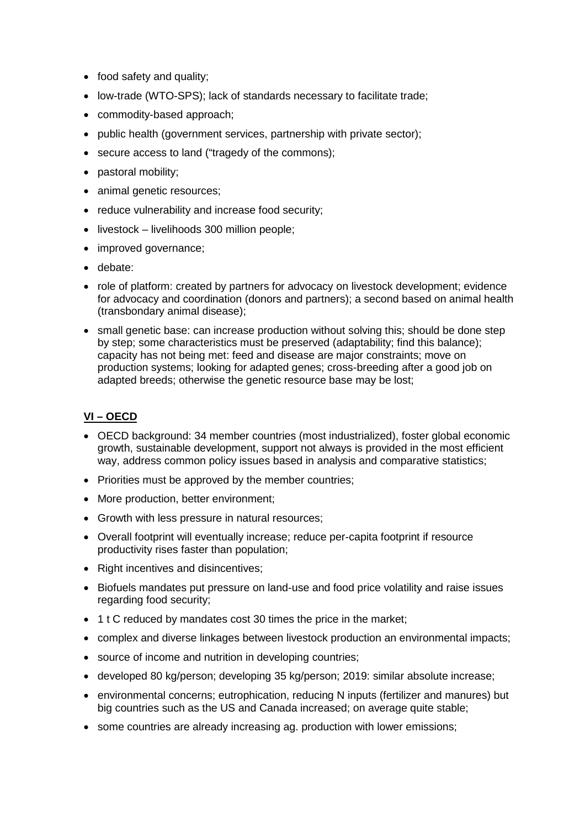- food safety and quality;
- low-trade (WTO-SPS); lack of standards necessary to facilitate trade;
- commodity-based approach;
- public health (government services, partnership with private sector);
- secure access to land ("tragedy of the commons);
- pastoral mobility;
- animal genetic resources;
- reduce vulnerability and increase food security;
- livestock livelihoods 300 million people;
- improved governance;
- debate:
- role of platform: created by partners for advocacy on livestock development; evidence for advocacy and coordination (donors and partners); a second based on animal health (transbondary animal disease);
- small genetic base: can increase production without solving this; should be done step by step; some characteristics must be preserved (adaptability; find this balance); capacity has not being met: feed and disease are major constraints; move on production systems; looking for adapted genes; cross-breeding after a good job on adapted breeds; otherwise the genetic resource base may be lost;

# **VI – OECD**

- OECD background: 34 member countries (most industrialized), foster global economic growth, sustainable development, support not always is provided in the most efficient way, address common policy issues based in analysis and comparative statistics;
- Priorities must be approved by the member countries;
- More production, better environment;
- Growth with less pressure in natural resources;
- Overall footprint will eventually increase; reduce per-capita footprint if resource productivity rises faster than population;
- Right incentives and disincentives;
- Biofuels mandates put pressure on land-use and food price volatility and raise issues regarding food security;
- 1 t C reduced by mandates cost 30 times the price in the market;
- complex and diverse linkages between livestock production an environmental impacts;
- source of income and nutrition in developing countries;
- developed 80 kg/person; developing 35 kg/person; 2019: similar absolute increase;
- environmental concerns; eutrophication, reducing N inputs (fertilizer and manures) but big countries such as the US and Canada increased; on average quite stable;
- some countries are already increasing ag. production with lower emissions;